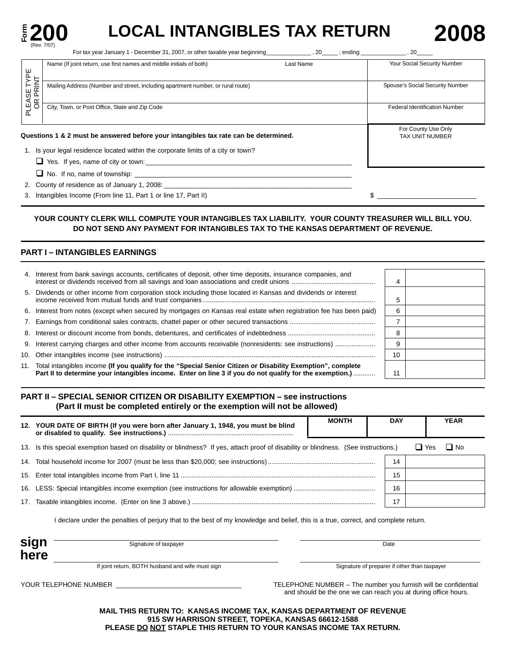

# **E 200 LOCAL INTANGIBLES TAX RETURN 2008**

|                                | Last Name<br>Name (If joint return, use first names and middle initials of both)     | Your Social Security Number                   |
|--------------------------------|--------------------------------------------------------------------------------------|-----------------------------------------------|
| <b>'LEASE TYPE</b><br>OR PRINT | Mailing Address (Number and street, including apartment number, or rural route)      | Spouse's Social Security Number               |
| $\Omega$                       | City, Town, or Post Office, State and Zip Code                                       | <b>Federal Identification Number</b>          |
|                                | Questions 1 & 2 must be answered before your intangibles tax rate can be determined. | For County Use Only<br><b>TAX UNIT NUMBER</b> |
|                                | 1. Is your legal residence located within the corporate limits of a city or town?    |                                               |
|                                | $\Box$ Yes. If yes, name of city or town:                                            |                                               |
|                                | $\Box$ No. If no, name of township:                                                  |                                               |
|                                | 2. County of residence as of January 1, 2008:                                        |                                               |

3. Intangibles Income (From line 11, Part 1 or line 17, Part II)  $\sqrt{2}$   $\frac{1}{2}$   $\sqrt{2}$ 

# **YOUR COUNTY CLERK WILL COMPUTE YOUR INTANGIBLES TAX LIABILITY. YOUR COUNTY TREASURER WILL BILL YOU. DO NOT SEND ANY PAYMENT FOR INTANGIBLES TAX TO THE KANSAS DEPARTMENT OF REVENUE.**

# **PART I – INTANGIBLES EARNINGS**

| 4. Interest from bank savings accounts, certificates of deposit, other time deposits, insurance companies, and                                                                                                             |    |  |
|----------------------------------------------------------------------------------------------------------------------------------------------------------------------------------------------------------------------------|----|--|
| 5. Dividends or other income from corporation stock including those located in Kansas and dividends or interest                                                                                                            | с  |  |
| 6. Interest from notes (except when secured by mortgages on Kansas real estate when registration fee has been paid)                                                                                                        | 6  |  |
|                                                                                                                                                                                                                            |    |  |
|                                                                                                                                                                                                                            | 8  |  |
|                                                                                                                                                                                                                            | 9  |  |
|                                                                                                                                                                                                                            | 10 |  |
| 11. Total intangibles income (If you qualify for the "Special Senior Citizen or Disability Exemption", complete<br>Part II to determine your intangibles income. Enter on line 3 if you do not qualify for the exemption.) | 11 |  |

# **PART II – SPECIAL SENIOR CITIZEN OR DISABILITY EXEMPTION – see instructions (Part II must be completed entirely or the exemption will not be allowed)**

| 12. YOUR DATE OF BIRTH (If you were born after January 1, 1948, you must be blind                                                    | <b>MONTH</b> | <b>DAY</b> |              | <b>YEAR</b> |  |
|--------------------------------------------------------------------------------------------------------------------------------------|--------------|------------|--------------|-------------|--|
| 13. Is this special exemption based on disability or blindness? If yes, attach proof of disability or blindness. (See instructions.) |              |            | $\sqcup$ Yes | $\Box$ No   |  |
|                                                                                                                                      |              | 14         |              |             |  |
|                                                                                                                                      |              | 15         |              |             |  |
|                                                                                                                                      |              | 16         |              |             |  |
|                                                                                                                                      |              |            |              |             |  |

I declare under the penalties of perjury that to the best of my knowledge and belief, this is a true, correct, and complete return.

| sign<br>here | Signature of taxpayer                            | Date                                         |
|--------------|--------------------------------------------------|----------------------------------------------|
|              | If joint return, BOTH husband and wife must sign | Signature of preparer if other than taxpayer |

YOUR TELEPHONE NUMBER \_\_\_\_\_\_\_\_\_\_\_\_\_\_\_\_\_\_\_\_\_\_\_\_\_\_\_\_\_\_\_\_\_\_ TELEPHONE NUMBER – The number you furnish will be confidential and should be the one we can reach you at during office hours.

> **MAIL THIS RETURN TO: KANSAS INCOME TAX, KANSAS DEPARTMENT OF REVENUE 915 SW HARRISON STREET, TOPEKA, KANSAS 66612-1588 PLEASE DO NOT STAPLE THIS RETURN TO YOUR KANSAS INCOME TAX RETURN.**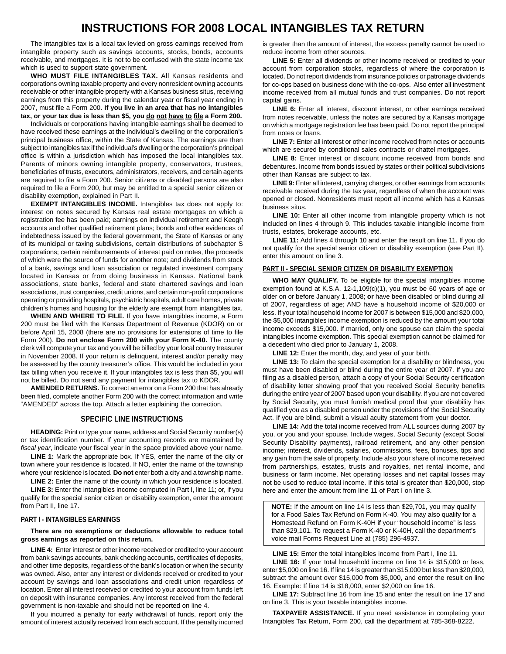# **INSTRUCTIONS FOR 2008 LOCAL INTANGIBLES TAX RETURN**

The intangibles tax is a local tax levied on gross earnings received from intangible property such as savings accounts, stocks, bonds, accounts receivable, and mortgages. It is not to be confused with the state income tax which is used to support state government.

**WHO MUST FILE INTANGIBLES TAX.** All Kansas residents and corporations owning taxable property and every nonresident owning accounts receivable or other intangible property with a Kansas business situs, receiving earnings from this property during the calendar year or fiscal year ending in 2007, must file a Form 200. **If you live in an area that has no intangibles**  tax, or your tax due is less than \$5, you do not have to file a Form 200.

Individuals or corporations having intangible earnings shall be deemed to have received these earnings at the individual's dwelling or the corporation's principal business office, within the State of Kansas. The earnings are then subject to intangibles tax if the individual's dwelling or the corporation's principal office is within a jurisdiction which has imposed the local intangibles tax. Parents of minors owning intangible property, conservators, trustees, beneficiaries of trusts, executors, administrators, receivers, and certain agents are required to file a Form 200. Senior citizens or disabled persons are also required to file a Form 200, but may be entitled to a special senior citizen or disability exemption, explained in Part II.

**EXEMPT INTANGIBLES INCOME.** Intangibles tax does not apply to: interest on notes secured by Kansas real estate mortgages on which a registration fee has been paid; earnings on individual retirement and Keogh accounts and other qualified retirement plans; bonds and other evidences of indebtedness issued by the federal government, the State of Kansas or any of its municipal or taxing subdivisions, certain distributions of subchapter S corporations; certain reimbursements of interest paid on notes, the proceeds of which were the source of funds for another note; and dividends from stock of a bank, savings and loan association or regulated investment company located in Kansas or from doing business in Kansas. National bank associations, state banks, federal and state chartered savings and loan associations, trust companies, credit unions, and certain non-profit corporations operating or providing hospitals, psychiatric hospitals, adult care homes, private children's homes and housing for the elderly are exempt from intangibles tax.

**WHEN AND WHERE TO FILE.** If you have intangibles income, a Form 200 must be filed with the Kansas Department of Revenue (KDOR) on or before April 15, 2008 (there are no provisions for extensions of time to file Form 200). **Do not enclose Form 200 with your Form K-40.** The county clerk will compute your tax and you will be billed by your local county treasurer in November 2008. If your return is delinquent, interest and/or penalty may be assessed by the county treasurer's office. This would be included in your tax billing when you receive it. If your intangibles tax is less than \$5, you will not be billed. Do not send any payment for intangibles tax to KDOR.

**AMENDED RETURNS.** To correct an error on a Form 200 that has already been filed, complete another Form 200 with the correct information and write "AMENDED" across the top. Attach a letter explaining the correction.

#### **SPECIFIC LINE INSTRUCTIONS**

**HEADING:** Print or type your name, address and Social Security number(s) or tax identification number. If your accounting records are maintained by *fiscal year*, indicate your fiscal year in the space provided above your name.

**LINE 1:** Mark the appropriate box. If YES, enter the name of the city or town where your residence is located. If NO, enter the name of the township where your residence is located. **Do not** enter both a city and a township name.

LINE 2: Enter the name of the county in which your residence is located.

**LINE 3:** Enter the intangibles income computed in Part I, line 11; or, if you qualify for the special senior citizen or disability exemption, enter the amount from Part II, line 17.

#### **PART I - INTANGIBLES EARNINGS**

**There are no exemptions or deductions allowable to reduce total gross earnings as reported on this return.** 

**LINE 4:** Enter interest or other income received or credited to your account from bank savings accounts, bank checking accounts, certificates of deposits, and other time deposits, regardless of the bank's location or when the security was owned. Also, enter any interest or dividends received or credited to your account by savings and loan associations and credit union regardless of location. Enter all interest received or credited to your account from funds left on deposit with insurance companies. Any interest received from the federal government is non-taxable and should not be reported on line 4.

If you incurred a penalty for early withdrawal of funds, report only the amount of interest actually received from each account. If the penalty incurred is greater than the amount of interest, the excess penalty cannot be used to reduce income from other sources.

 for co-ops based on business done with the co-ops. Also enter all investment **LINE 5:** Enter all dividends or other income received or credited to your account from corporation stocks, regardless of where the corporation is located. Do not report dividends from insurance policies or patronage dividends income received from all mutual funds and trust companies. Do not report capital gains.

LINE 6: Enter all interest, discount interest, or other earnings received from notes receivable, unless the notes are secured by a Kansas mortgage on which a mortgage registration fee has been paid. Do not report the principal from notes or loans.

**LINE 7:** Enter all interest or other income received from notes or accounts which are secured by conditional sales contracts or chattel mortgages.

LINE 8: Enter interest or discount income received from bonds and debentures. Income from bonds issued by states or their political subdivisions other than Kansas are subject to tax.

**LINE 9:** Enter all interest, carrying charges, or other earnings from accounts receivable received during the tax year, regardless of when the account was opened or closed. Nonresidents must report all income which has a Kansas business situs.

LINE 10: Enter all other income from intangible property which is not included on lines 4 through 9. This includes taxable intangible income from trusts, estates, brokerage accounts, etc.

**LINE 11:** Add lines 4 through 10 and enter the result on line 11. If you do not qualify for the special senior citizen or disability exemption (see Part II), enter this amount on line 3.

#### **PART II - SPECIAL SENIOR CITIZEN OR DISABILITY EXEMPTION**

**WHO MAY QUALIFY.** To be eligible for the special intangibles income exemption found at K.S.A. 12-1,109(c)(1), you must be 60 years of age or older on or before January 1, 2008; **or** have been disabled or blind during all of 2007, regardless of age; AND have a household income of \$20,000 or less. If your total household income for 2007 is between \$15,000 and \$20,000, the \$5,000 intangibles income exemption is reduced by the amount your total income exceeds \$15,000. If married, only one spouse can claim the special intangibles income exemption. This special exemption cannot be claimed for a decedent who died prior to January 1, 2008.

**LINE 12:** Enter the month, day, and year of your birth.

**LINE 13:** To claim the special exemption for a disability or blindness, you must have been disabled or blind during the entire year of 2007. If you are filing as a disabled person, attach a copy of your Social Security certification of disability letter showing proof that you received Social Security benefits during the entire year of 2007 based upon your disability. If you are not covered by Social Security, you must furnish medical proof that your disability has qualified you as a disabled person under the provisions of the Social Security Act. If you are blind, submit a visual acuity statement from your doctor.

**LINE 14:** Add the total income received from ALL sources during 2007 by you, or you and your spouse. Include wages, Social Security (except Social Security Disability payments), railroad retirement, and any other pension income; interest, dividends, salaries, commissions, fees, bonuses, tips and any gain from the sale of property. Include also your share of income received from partnerships, estates, trusts and royalties, net rental income, and business or farm income. Net operating losses and net capital losses may not be used to reduce total income. If this total is greater than \$20,000, stop here and enter the amount from line 11 of Part I on line 3.

**NOTE:** If the amount on line 14 is less than \$29,701, you may qualify for a Food Sales Tax Refund on Form K-40. You may also qualify for a Homestead Refund on Form K-40H if your "household income" is less than \$29,101. To request a Form K-40 or K-40H, call the department's voice mail Forms Request Line at (785) 296-4937.

**LINE 15:** Enter the total intangibles income from Part I, line 11.

**LINE 16:** If your total household income on line 14 is \$15,000 or less, enter \$5,000 on line 16. If line 14 is greater than \$15,000 but less than \$20,000, subtract the amount over \$15,000 from \$5,000, and enter the result on line 16. Example: If line 14 is \$18,000, enter \$2,000 on line 16.

**LINE 17:** Subtract line 16 from line 15 and enter the result on line 17 and on line 3. This is your taxable intangibles income.

**TAXPAYER ASSISTANCE.** If you need assistance in completing your Intangibles Tax Return, Form 200, call the department at 785-368-8222.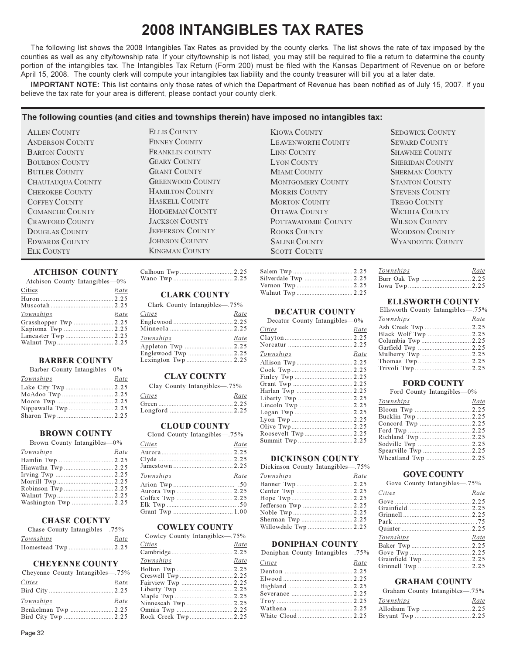# **2008 INTANGIBLES TAX RATES**

The following list shows the 2008 Intangibles Tax Rates as provided by the county clerks. The list shows the rate of tax imposed by the counties as well as any city/township rate. If your city/township is not listed, you may still be required to file a return to determine the county portion of the intangibles tax. The Intangibles Tax Return (Form 200) must be filed with the Kansas Department of Revenue on or before April 15, 2008. The county clerk will compute your intangibles tax liability and the county treasurer will bill you at a later date.

IMPORTANT NOTE: This list contains only those rates of which the Department of Revenue has been notified as of July 15, 2007. If you believe the tax rate for your area is different, please contact your county clerk.

# The following counties (and cities and townships therein) have imposed no intangibles tax:

**ALLEN COUNTY ANDERSON COUNTY** BARTON COUNTY **BOURBON COUNTY BUTLER COUNTY** CHAUTAUQUA COUNTY CHEROKEE COUNTY COFFEY COUNTY **COMANCHE COUNTY** CRAWFORD COUNTY DOUGLAS COUNTY **EDWARDS COUNTY** ELK COUNTY

# **ELLIS COUNTY FINNEY COUNTY** FRANKLIN COUNTY **GEARY COUNTY GRANT COUNTY GREENWOOD COUNTY** HAMILTON COUNTY HASKELL COUNTY HODGEMAN COUNTY **LACKSON COUNTY JEFFERSON COUNTY IOHNSON COUNTY KINGMAN COUNTY**

# **ATCHISON COUNTY**

| Atchison County Intangibles-0% |      |
|--------------------------------|------|
| Cities                         | Rate |
|                                |      |
|                                |      |
| Townships                      | Rate |
|                                |      |
|                                |      |
|                                |      |
|                                |      |
|                                |      |

# **BARBER COUNTY**

|  |  | Barber County Intangibles-0% |  |
|--|--|------------------------------|--|
|--|--|------------------------------|--|

| Townships            | Rate |
|----------------------|------|
|                      |      |
|                      |      |
|                      |      |
| Nippawalla Twp  2.25 |      |
|                      |      |

#### **BROWN COUNTY**

| Brown County Intangibles-09 |
|-----------------------------|
|-----------------------------|

| Townships            | Rate |
|----------------------|------|
|                      |      |
|                      |      |
|                      |      |
|                      |      |
|                      |      |
|                      |      |
| Washington Twp  2.25 |      |
|                      |      |

#### **CHASE COUNTY**

| Chase County Intangibles—15% |      |
|------------------------------|------|
| Townships                    | Rate |
|                              |      |

# **CHEYENNE COUNTY**

| Cheyenne County Intangibles—.75% |      |
|----------------------------------|------|
| Cities                           | Rate |
|                                  |      |
| Townships                        | Rate |
| Benkelman Twp  2.25              |      |
| Rind City Twn 2.25               |      |

# **CLARK COUNTY**

| Clark County Intangibles—75% |      |
|------------------------------|------|
| <i>Cities</i>                | Rate |
|                              |      |
|                              |      |
| Townships                    | Rate |
|                              |      |
|                              |      |
| Lexington Twn 2.25           |      |

# **CLAY COUNTY**

| Clay County Intangibles—75% |      |
|-----------------------------|------|
| Cities                      | Rate |
|                             |      |

# **CLOUD COUNTY**

|  |  | Cloud County Intangibles—75% |
|--|--|------------------------------|
|--|--|------------------------------|

| Cities    | Rate |
|-----------|------|
|           |      |
|           |      |
|           |      |
| Townships | Rate |
|           |      |
|           |      |
|           |      |
|           |      |
|           |      |

#### **COWLEY COUNTY**

Cowley County Intangibles-75%

| rties<br><i>Rate</i>      |  |
|---------------------------|--|
|                           |  |
| <u> Townships</u><br>Rate |  |
|                           |  |
|                           |  |
| Fairview Twp  2.25        |  |
|                           |  |
|                           |  |
|                           |  |
|                           |  |
| Rock Creek Twp  2.25      |  |
|                           |  |

| KIOWA COUNTY              |
|---------------------------|
| <b>LEAVENWORTH COUNTY</b> |
| LINN COUNTY               |
| LYON COUNTY               |
| MIAMI COUNTY              |
| MONTGOMERY COUNTY         |
| MORRIS COUNTY             |
| <b>MORTON COUNTY</b>      |
| OTTAWA COUNTY             |
| POTTAWATOMIE COUNTY       |
| ROOKS COUNTY              |
| <b>SALINE COUNTY</b>      |
| <b>SCOTT COUNTY</b>       |

# **DECATUR COUNTY**

Decatur County Intangibles-0%

| Cities    | Rate |
|-----------|------|
|           |      |
|           |      |
| Townships | Rate |
|           |      |
|           |      |
|           |      |
|           |      |
|           |      |
|           |      |
|           |      |
|           |      |
|           |      |
|           |      |
|           |      |
|           |      |

# **DICKINSON COUNTY**

| Dickinson County Intangibles-75% |      |
|----------------------------------|------|
| Townships                        | Rate |
|                                  |      |
|                                  |      |
|                                  |      |
| Jefferson Twp  2.25              |      |
|                                  |      |
|                                  |      |
| Willowdale Twp  2.25             |      |

# **DONIPHAN COUNTY**

Doniphan County Intangibles-75%

| Rate<br>Cities |  |
|----------------|--|
|                |  |
|                |  |
|                |  |
|                |  |
|                |  |
|                |  |
|                |  |

# **SHERIDAN COUNTY SHERMAN COUNTY STANTON COUNTY STEVENS COUNTY** TREGO COUNTY WICHITA COUNTY **WILSON COUNTY WOODSON COUNTY WYANDOTTE COUNTY**

**SEDGWICK COUNTY** 

**SEWARD COUNTY** 

**SHAWNEE COUNTY** 

| Townships | Rate |
|-----------|------|
|           |      |
|           |      |

# **ELLSWORTH COUNTY**

| Ellsworth County Intangibles—.75% |      |
|-----------------------------------|------|
| Townships                         | Rate |
|                                   |      |
|                                   |      |
|                                   |      |
|                                   |      |
|                                   |      |
|                                   |      |
|                                   |      |

# **FORD COUNTY**

Ford County Intangibles-0%

| Townships | Rate |
|-----------|------|
|           |      |
|           |      |
|           |      |
|           |      |
|           |      |
|           |      |
|           |      |
|           |      |

#### **GOVE COUNTY**

Gove County Intangibles-75%

| Cities<br>Rate       |  |
|----------------------|--|
|                      |  |
|                      |  |
|                      |  |
|                      |  |
|                      |  |
| Townships<br>Rate    |  |
|                      |  |
|                      |  |
| Grainfield Twp  2.25 |  |
|                      |  |
|                      |  |

# **GRAHAM COUNTY**

| Graham County Intangibles—75% |      |
|-------------------------------|------|
| Townships                     | Rate |
|                               |      |
|                               |      |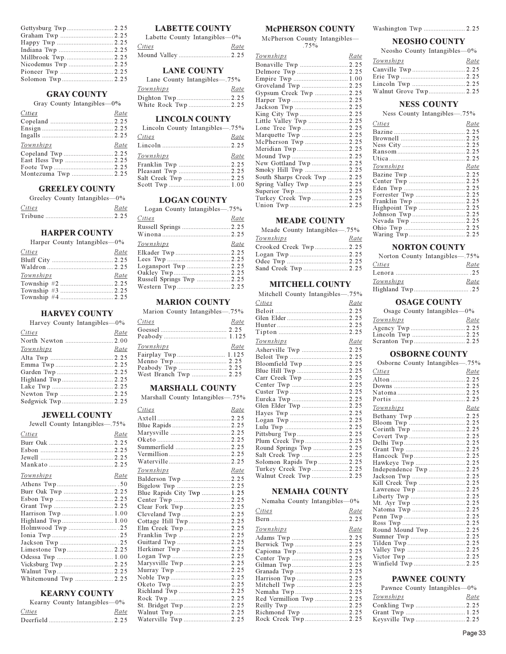#### **GRAY COUNTY**

Grav County Intangibles-0%

| Cities<br>Rate<br>Townships<br>Rate<br>Montezuma Twp  2.25 | $\sum_{i=1}^{n} \sum_{j=1}^{n} \sum_{j=1}^{n} \sum_{j=1}^{n} \sum_{j=1}^{n} \sum_{j=1}^{n} \sum_{j=1}^{n} \sum_{j=1}^{n} \sum_{j=1}^{n} \sum_{j=1}^{n} \sum_{j=1}^{n} \sum_{j=1}^{n} \sum_{j=1}^{n} \sum_{j=1}^{n} \sum_{j=1}^{n} \sum_{j=1}^{n} \sum_{j=1}^{n} \sum_{j=1}^{n} \sum_{j=1}^{n} \sum_{j=1}^{n} \sum_{j=1}^{n} \sum_{j=1}^{n}$ |  |
|------------------------------------------------------------|---------------------------------------------------------------------------------------------------------------------------------------------------------------------------------------------------------------------------------------------------------------------------------------------------------------------------------------------|--|
|                                                            |                                                                                                                                                                                                                                                                                                                                             |  |
|                                                            |                                                                                                                                                                                                                                                                                                                                             |  |
|                                                            |                                                                                                                                                                                                                                                                                                                                             |  |
|                                                            |                                                                                                                                                                                                                                                                                                                                             |  |
|                                                            |                                                                                                                                                                                                                                                                                                                                             |  |
|                                                            |                                                                                                                                                                                                                                                                                                                                             |  |
|                                                            |                                                                                                                                                                                                                                                                                                                                             |  |
|                                                            |                                                                                                                                                                                                                                                                                                                                             |  |
|                                                            |                                                                                                                                                                                                                                                                                                                                             |  |

# **GREELEY COUNTY**

Greeley County Intangibles-0%

 $Cities$ Rate 

#### **HARPER COUNTY**

| Harper County Intangibles-0% |      |
|------------------------------|------|
| Cities                       | Rate |
|                              |      |
|                              |      |
| Townships                    | Rate |
|                              |      |
|                              |      |
|                              |      |
|                              |      |

# **HARVEY COUNTY**

| Harvey County Intangibles—0% |      |
|------------------------------|------|
| Cities                       | Rate |
|                              |      |
| Townships                    | Rate |
|                              |      |
|                              |      |
|                              |      |
|                              |      |
|                              |      |
|                              |      |
|                              |      |

#### **JEWELL COUNTY**

| Jewell County Intangibles—75% |      |
|-------------------------------|------|
| Cities                        | Rate |
|                               |      |
|                               |      |
|                               |      |
|                               |      |
| Townships                     | Rate |
|                               |      |
|                               |      |
|                               |      |
|                               |      |
| Harrison Twp  1.00            |      |
|                               |      |
|                               |      |
|                               |      |
|                               |      |
|                               |      |
|                               |      |
|                               |      |
| Walnut Twp 2.25               |      |
| Whitemound Twp  2.25          |      |

# **KEARNY COUNTY**

|        | Kearny County Intangibles-0% |
|--------|------------------------------|
| Cities | Rate                         |
|        |                              |

# **LABETTE COUNTY**

| Labette County Intangibles-0% |      |
|-------------------------------|------|
| Cities                        | Rate |
|                               |      |
|                               |      |

# **LANE COUNTY**

 $750$ 

| Lane County Intangibles—75% |      |
|-----------------------------|------|
| Townships                   | Rate |
|                             |      |
| White Rock Twp  2.25        |      |

# **LINCOLN COUNTY**

| Lincoln County Intangibles—.75% |      |
|---------------------------------|------|
| Cities                          | Rate |
|                                 |      |
| Townships                       | Rate |
|                                 |      |
|                                 |      |
|                                 |      |
|                                 |      |

# **LOGAN COUNTY**

Logan County Intangibles-75%

| Cities    | Rate |
|-----------|------|
|           |      |
|           |      |
| Townships | Rate |
|           |      |
|           |      |
|           |      |
|           |      |
|           |      |
|           |      |
|           |      |

# **MARION COUNTY**

Marion County Intangibles-75%

| Cities             | Rate |
|--------------------|------|
|                    |      |
|                    |      |
| Townships          | Rate |
| Fairplay Twp 1.125 |      |
|                    |      |
|                    |      |
|                    |      |

#### **MARSHALL COUNTY**

Marshall County Intangibles-75%

| Cities                     | Rate |
|----------------------------|------|
|                            |      |
|                            |      |
|                            |      |
|                            |      |
| Summerfield  2.25          |      |
|                            |      |
|                            |      |
| <u>Townships</u>           | Rate |
|                            |      |
|                            |      |
| Blue Rapids City Twp  1.25 |      |
|                            |      |
| Clear Fork Twp 2.25        |      |
| Cleveland Twp  2.25        |      |
| Cottage Hill Twp 2.25      |      |
| Elm Creek Twp 2.25         |      |
|                            |      |
|                            |      |
|                            |      |
|                            |      |
| Marysville Twp 2.25        |      |
|                            |      |
|                            |      |
|                            |      |
|                            |      |
|                            |      |
| St. Bridget Twp 2.25       |      |
|                            |      |
|                            |      |

# **McPHERSON COUNTY**

McPherson County Intangibles- $.75\%$ 

| Townships                    | Rate |
|------------------------------|------|
|                              |      |
| Delmore Twp  2.25            |      |
|                              |      |
| Groveland Twp  2.25          |      |
| Gypsum Creek Twp  2.25       |      |
|                              |      |
|                              |      |
|                              |      |
| Little Valley Twp  2.25      |      |
|                              |      |
| Marquette Twp  2.25          |      |
| McPherson Twp  2.25          |      |
| Meridian Twp 2.25            |      |
|                              |      |
| New Gottland Twp  2.25       |      |
| Smoky Hill Twp  2.25         |      |
| South Sharps Creek Twp  2.25 |      |
|                              |      |
|                              |      |
| Turkey Creek Twp 2.25        |      |
|                              |      |

# **MEADE COUNTY**

| Meade County Intangibles-75% |      |
|------------------------------|------|
| Townships                    | Rate |
| Crooked Creek Twp 2.25       |      |
|                              |      |
|                              |      |
| Sand Creek Twp  2.25         |      |

# **MITCHELL COUNTY**

| Mitchell County Intangibles-75% |      |
|---------------------------------|------|
| Cities                          | Rate |
|                                 |      |
|                                 |      |
|                                 |      |
|                                 |      |
| Townships                       | Rate |
|                                 |      |
|                                 |      |
| Bloomfield Twp  2.25            |      |
|                                 |      |
| Carr Creek Twp  2.25            |      |
|                                 |      |
|                                 |      |
|                                 |      |
|                                 |      |
|                                 |      |
|                                 |      |
|                                 |      |
| Pittsburg Twp 2.25              |      |
| Plum Creek Twp 2.25             |      |
| Round Springs Twp  2.25         |      |
| Salt Creek Twp  2.25            |      |
| Solomon Rapids Twp  2.25        |      |
| Turkey Creek Twp 2.25           |      |
| Walnut Creek Twp  2.25          |      |

#### **NEMAHA COUNTY**

Nemaha County Intangibles-0%

| Cities                   | Rate |
|--------------------------|------|
|                          |      |
| Townships                | Rate |
|                          |      |
|                          |      |
|                          |      |
|                          |      |
|                          |      |
|                          |      |
|                          |      |
|                          |      |
|                          |      |
| Red Vermillion Twp  2.25 |      |
|                          |      |
|                          |      |
| Rock Creek Twn 2.25      |      |

#### **NEOSHO COUNTY**

| Neosho County Intangibles-0% |      |
|------------------------------|------|
| Townships                    | Rate |
|                              |      |
|                              |      |
|                              |      |
|                              |      |

# **NESS COUNTY**

Ness County Intangibles-75%

| Cities           | Rate |
|------------------|------|
|                  |      |
|                  |      |
|                  |      |
|                  |      |
|                  |      |
| <b>Townships</b> | Rate |
|                  |      |
|                  |      |
|                  |      |
|                  |      |
|                  |      |
|                  |      |
|                  |      |
|                  |      |
|                  |      |
|                  |      |
|                  |      |

# **NORTON COUNTY**

| Norton County Intangibles—75% |      |
|-------------------------------|------|
| Cities                        | Rate |
|                               |      |
| Townships                     | Rate |
|                               |      |

# **OSAGE COUNTY**

| Osage County Intangibles-0% |      |
|-----------------------------|------|
| Townships                   | Rate |
|                             |      |
|                             |      |
|                             |      |

# **OSBORNE COUNTY**

| Osborne County Intangibles-75% |      |
|--------------------------------|------|
| Cities                         | Rate |
|                                |      |
|                                |      |
|                                |      |
|                                |      |
| <u>Townships</u>               | Rate |
|                                |      |
|                                |      |
|                                |      |
|                                |      |
|                                |      |
|                                |      |
|                                |      |
| Hawkeye Twp  2.25              |      |
| Independence Twp  2.25         |      |
|                                |      |
|                                |      |
|                                |      |
|                                |      |
|                                |      |
|                                |      |
|                                |      |
|                                |      |
| Round Mound Twp 2.25           |      |
|                                |      |
|                                |      |
|                                |      |
|                                |      |
|                                |      |

#### **PAWNEE COUNTY**

| Pawnee County Intangibles-0% |      |
|------------------------------|------|
| Townships                    | Rate |
|                              |      |
|                              |      |
|                              |      |